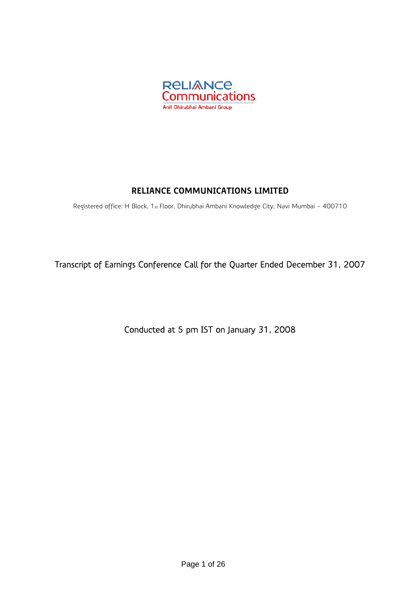

# **RELIANCE COMMUNICATIONS LIMITED**

Registered office: H Block, 1st Floor, Dhirubhai Ambani Knowledge City, Navi Mumbai - 400710

Transcript of Earnings Conference Call for the Quarter Ended December 31, 2007

Conducted at 5 pm IST on January 31, 2008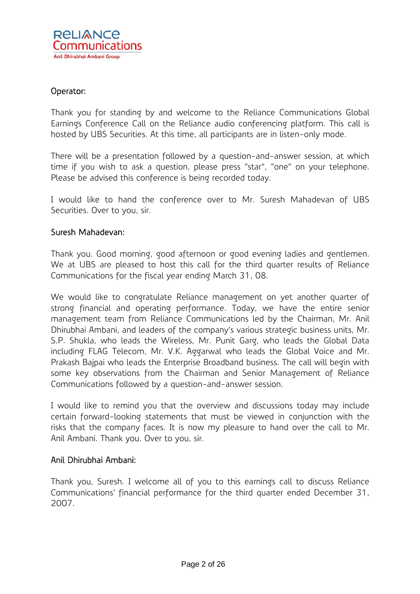# Operator:

Thank you for standing by and welcome to the Reliance Communications Global Earnings Conference Call on the Reliance audio conferencing platform. This call is hosted by UBS Securities. At this time, all participants are in listen-only mode.

There will be a presentation followed by a question-and-answer session, at which time if you wish to ask a question, please press "star", "one" on your telephone. Please be advised this conference is being recorded today.

I would like to hand the conference over to Mr. Suresh Mahadevan of UBS Securities. Over to you, sir.

# Suresh Mahadevan:

Thank you. Good morning, good afternoon or good evening ladies and gentlemen. We at UBS are pleased to host this call for the third quarter results of Reliance Communications for the fiscal year ending March 31, 08.

We would like to congratulate Reliance management on yet another quarter of strong financial and operating performance. Today, we have the entire senior management team from Reliance Communications led by the Chairman, Mr. Anil Dhirubhai Ambani, and leaders of the company's various strategic business units, Mr. S.P. Shukla, who leads the Wireless, Mr. Punit Garg, who leads the Global Data including FLAG Telecom, Mr. V.K. Aggarwal who leads the Global Voice and Mr. Prakash Bajpai who leads the Enterprise Broadband business. The call will begin with some key observations from the Chairman and Senior Management of Reliance Communications followed by a question-and-answer session.

I would like to remind you that the overview and discussions today may include certain forward-looking statements that must be viewed in conjunction with the risks that the company faces. It is now my pleasure to hand over the call to Mr. Anil Ambani. Thank you. Over to you, sir.

#### Anil Dhirubhai Ambani:

Thank you, Suresh. I welcome all of you to this earnings call to discuss Reliance Communications' financial performance for the third quarter ended December 31, 2007.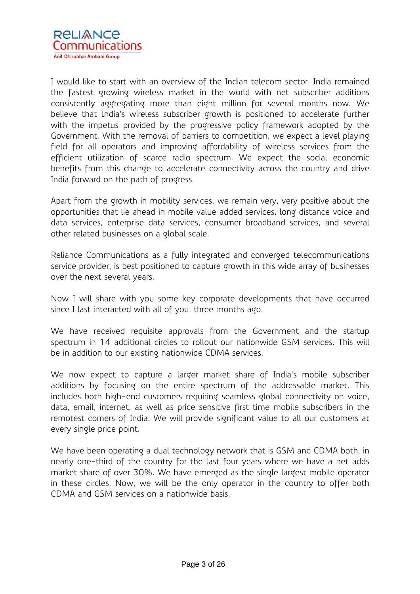I would like to start with an overview of the Indian telecom sector. India remained the fastest growing wireless market in the world with net subscriber additions consistently aggregating more than eight million for several months now. We believe that India's wireless subscriber growth is positioned to accelerate further with the impetus provided by the progressive policy framework adopted by the Government. With the removal of barriers to competition, we expect a level playing field for all operators and improving affordability of wireless services from the efficient utilization of scarce radio spectrum. We expect the social economic benefits from this change to accelerate connectivity across the country and drive India forward on the path of progress.

Apart from the growth in mobility services, we remain very, very positive about the opportunities that lie ahead in mobile value added services, long distance voice and data services, enterprise data services, consumer broadband services, and several other related businesses on a global scale.

Reliance Communications as a fully integrated and converged telecommunications service provider, is best positioned to capture growth in this wide array of businesses over the next several years.

Now I will share with you some key corporate developments that have occurred since I last interacted with all of you, three months ago.

We have received requisite approvals from the Government and the startup spectrum in 14 additional circles to rollout our nationwide GSM services. This will be in addition to our existing nationwide CDMA services.

We now expect to capture a larger market share of India's mobile subscriber additions by focusing on the entire spectrum of the addressable market. This includes both high-end customers requiring seamless global connectivity on voice, data, email, internet, as well as price sensitive first time mobile subscribers in the remotest corners of India. We will provide significant value to all our customers at every single price point.

We have been operating a dual technology network that is GSM and CDMA both, in nearly one-third of the country for the last four years where we have a net adds market share of over 30%. We have emerged as the single largest mobile operator in these circles. Now, we will be the only operator in the country to offer both CDMA and GSM services on a nationwide basis.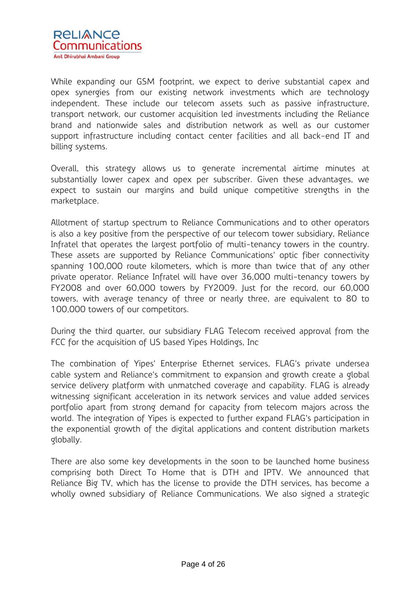

While expanding our GSM footprint, we expect to derive substantial capex and opex synergies from our existing network investments which are technology independent. These include our telecom assets such as passive infrastructure, transport network, our customer acquisition led investments including the Reliance brand and nationwide sales and distribution network as well as our customer support infrastructure including contact center facilities and all back-end IT and billing systems.

Overall, this strategy allows us to generate incremental airtime minutes at substantially lower capex and opex per subscriber. Given these advantages, we expect to sustain our margins and build unique competitive strengths in the marketplace.

Allotment of startup spectrum to Reliance Communications and to other operators is also a key positive from the perspective of our telecom tower subsidiary, Reliance Infratel that operates the largest portfolio of multi-tenancy towers in the country. These assets are supported by Reliance Communications' optic fiber connectivity spanning 100,000 route kilometers, which is more than twice that of any other private operator. Reliance Infratel will have over 36,000 multi-tenancy towers by FY2008 and over 60,000 towers by FY2009. Just for the record, our 60,000 towers, with average tenancy of three or nearly three, are equivalent to 80 to 100,000 towers of our competitors.

During the third quarter, our subsidiary FLAG Telecom received approval from the FCC for the acquisition of US based Yipes Holdings, Inc

The combination of Yipes' Enterprise Ethernet services, FLAG's private undersea cable system and Reliance's commitment to expansion and growth create a global service delivery platform with unmatched coverage and capability. FLAG is already witnessing significant acceleration in its network services and value added services portfolio apart from strong demand for capacity from telecom majors across the world. The integration of Yipes is expected to further expand FLAG's participation in the exponential growth of the digital applications and content distribution markets globally.

There are also some key developments in the soon to be launched home business comprising both Direct To Home that is DTH and IPTV. We announced that Reliance Big TV, which has the license to provide the DTH services, has become a wholly owned subsidiary of Reliance Communications. We also signed a strategic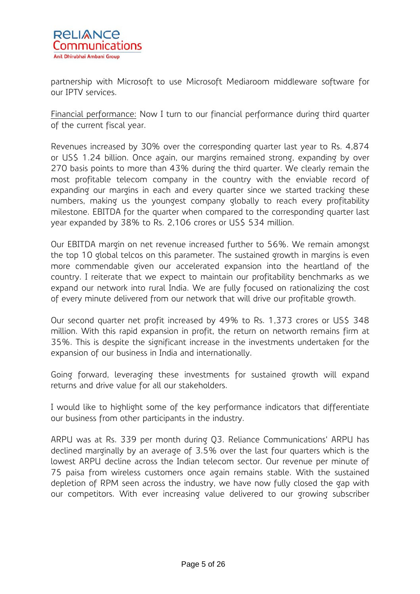

partnership with Microsoft to use Microsoft Mediaroom middleware software for our IPTV services.

Financial performance: Now I turn to our financial performance during third quarter of the current fiscal year.

Revenues increased by 30% over the corresponding quarter last year to Rs. 4,874 or US\$ 1.24 billion. Once again, our margins remained strong, expanding by over 270 basis points to more than 43% during the third quarter. We clearly remain the most profitable telecom company in the country with the enviable record of expanding our margins in each and every quarter since we started tracking these numbers, making us the youngest company globally to reach every profitability milestone. EBITDA for the quarter when compared to the corresponding quarter last year expanded by 38% to Rs. 2,106 crores or US\$ 534 million.

Our EBITDA margin on net revenue increased further to 56%. We remain amongst the top 10 global telcos on this parameter. The sustained growth in margins is even more commendable given our accelerated expansion into the heartland of the country. I reiterate that we expect to maintain our profitability benchmarks as we expand our network into rural India. We are fully focused on rationalizing the cost of every minute delivered from our network that will drive our profitable growth.

Our second quarter net profit increased by 49% to Rs. 1,373 crores or US\$ 348 million. With this rapid expansion in profit, the return on networth remains firm at 35%. This is despite the significant increase in the investments undertaken for the expansion of our business in India and internationally.

Going forward, leveraging these investments for sustained growth will expand returns and drive value for all our stakeholders.

I would like to highlight some of the key performance indicators that differentiate our business from other participants in the industry.

ARPU was at Rs. 339 per month during Q3. Reliance Communications' ARPU has declined marginally by an average of 3.5% over the last four quarters which is the lowest ARPU decline across the Indian telecom sector. Our revenue per minute of 75 paisa from wireless customers once again remains stable. With the sustained depletion of RPM seen across the industry, we have now fully closed the gap with our competitors. With ever increasing value delivered to our growing subscriber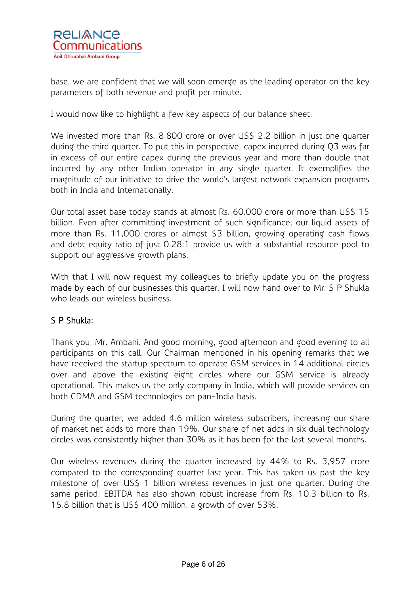

base, we are confident that we will soon emerge as the leading operator on the key parameters of both revenue and profit per minute.

I would now like to highlight a few key aspects of our balance sheet.

We invested more than Rs. 8,800 crore or over US\$ 2.2 billion in just one quarter during the third quarter. To put this in perspective, capex incurred during Q3 was far in excess of our entire capex during the previous year and more than double that incurred by any other Indian operator in any single quarter. It exemplifies the magnitude of our initiative to drive the world's largest network expansion programs both in India and Internationally.

Our total asset base today stands at almost Rs. 60,000 crore or more than US\$ 15 billion. Even after committing investment of such significance, our liquid assets of more than Rs. 11,000 crores or almost \$3 billion, growing operating cash flows and debt equity ratio of just 0.28:1 provide us with a substantial resource pool to support our aggressive growth plans.

With that I will now request my colleagues to briefly update you on the progress made by each of our businesses this quarter. I will now hand over to Mr. S P Shukla who leads our wireless business.

# S P Shukla:

Thank you, Mr. Ambani. And good morning, good afternoon and good evening to all participants on this call. Our Chairman mentioned in his opening remarks that we have received the startup spectrum to operate GSM services in 14 additional circles over and above the existing eight circles where our GSM service is already operational. This makes us the only company in India, which will provide services on both CDMA and GSM technologies on pan-India basis.

During the quarter, we added 4.6 million wireless subscribers, increasing our share of market net adds to more than 19%. Our share of net adds in six dual technology circles was consistently higher than 30% as it has been for the last several months.

Our wireless revenues during the quarter increased by 44% to Rs. 3,957 crore compared to the corresponding quarter last year. This has taken us past the key milestone of over US\$ 1 billion wireless revenues in just one quarter. During the same period, EBITDA has also shown robust increase from Rs. 10.3 billion to Rs. 15.8 billion that is US\$ 400 million, a growth of over 53%.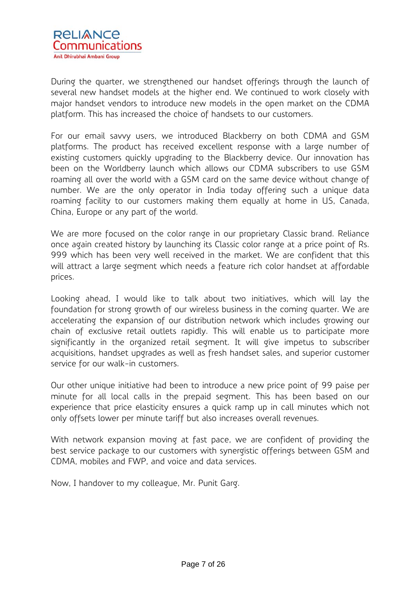

During the quarter, we strengthened our handset offerings through the launch of several new handset models at the higher end. We continued to work closely with major handset vendors to introduce new models in the open market on the CDMA platform. This has increased the choice of handsets to our customers.

For our email savvy users, we introduced Blackberry on both CDMA and GSM platforms. The product has received excellent response with a large number of existing customers quickly upgrading to the Blackberry device. Our innovation has been on the Worldberry launch which allows our CDMA subscribers to use GSM roaming all over the world with a GSM card on the same device without change of number. We are the only operator in India today offering such a unique data roaming facility to our customers making them equally at home in US, Canada, China, Europe or any part of the world.

We are more focused on the color range in our proprietary Classic brand. Reliance once again created history by launching its Classic color range at a price point of Rs. 999 which has been very well received in the market. We are confident that this will attract a large segment which needs a feature rich color handset at affordable prices.

Looking ahead, I would like to talk about two initiatives, which will lay the foundation for strong growth of our wireless business in the coming quarter. We are accelerating the expansion of our distribution network which includes growing our chain of exclusive retail outlets rapidly. This will enable us to participate more significantly in the organized retail segment. It will give impetus to subscriber acquisitions, handset upgrades as well as fresh handset sales, and superior customer service for our walk-in customers.

Our other unique initiative had been to introduce a new price point of 99 paise per minute for all local calls in the prepaid segment. This has been based on our experience that price elasticity ensures a quick ramp up in call minutes which not only offsets lower per minute tariff but also increases overall revenues.

With network expansion moving at fast pace, we are confident of providing the best service package to our customers with synergistic offerings between GSM and CDMA, mobiles and FWP, and voice and data services.

Now, I handover to my colleague, Mr. Punit Garg.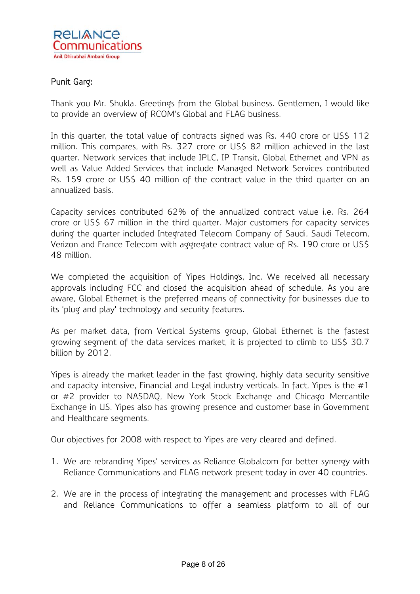

# Punit Garg:

Thank you Mr. Shukla. Greetings from the Global business. Gentlemen, I would like to provide an overview of RCOM's Global and FLAG business.

In this quarter, the total value of contracts signed was Rs. 440 crore or US\$ 112 million. This compares, with Rs. 327 crore or US\$ 82 million achieved in the last quarter. Network services that include IPLC, IP Transit, Global Ethernet and VPN as well as Value Added Services that include Managed Network Services contributed Rs. 159 crore or US\$ 40 million of the contract value in the third quarter on an annualized basis.

Capacity services contributed 62% of the annualized contract value i.e. Rs. 264 crore or US\$ 67 million in the third quarter. Major customers for capacity services during the quarter included Integrated Telecom Company of Saudi, Saudi Telecom, Verizon and France Telecom with aggregate contract value of Rs. 190 crore or US\$ 48 million.

We completed the acquisition of Yipes Holdings, Inc. We received all necessary approvals including FCC and closed the acquisition ahead of schedule. As you are aware, Global Ethernet is the preferred means of connectivity for businesses due to its 'plug and play' technology and security features.

As per market data, from Vertical Systems group, Global Ethernet is the fastest growing segment of the data services market, it is projected to climb to US\$ 30.7 billion by 2012.

Yipes is already the market leader in the fast growing, highly data security sensitive and capacity intensive, Financial and Legal industry verticals. In fact, Yipes is the #1 or #2 provider to NASDAQ, New York Stock Exchange and Chicago Mercantile Exchange in US. Yipes also has growing presence and customer base in Government and Healthcare segments.

Our objectives for 2008 with respect to Yipes are very cleared and defined.

- 1. We are rebranding Yipes' services as Reliance Globalcom for better synergy with Reliance Communications and FLAG network present today in over 40 countries.
- 2. We are in the process of integrating the management and processes with FLAG and Reliance Communications to offer a seamless platform to all of our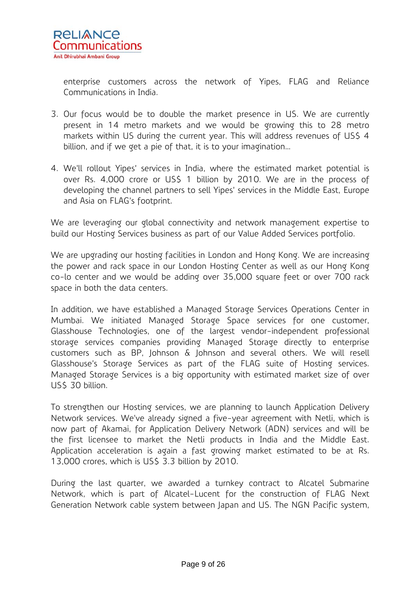

enterprise customers across the network of Yipes, FLAG and Reliance Communications in India.

- 3. Our focus would be to double the market presence in US. We are currently present in 14 metro markets and we would be growing this to 28 metro markets within US during the current year. This will address revenues of US\$ 4 billion, and if we get a pie of that, it is to your imagination…
- 4. We'll rollout Yipes' services in India, where the estimated market potential is over Rs. 4,000 crore or US\$ 1 billion by 2010. We are in the process of developing the channel partners to sell Yipes' services in the Middle East, Europe and Asia on FLAG's footprint.

We are leveraging our global connectivity and network management expertise to build our Hosting Services business as part of our Value Added Services portfolio.

We are upgrading our hosting facilities in London and Hong Kong. We are increasing the power and rack space in our London Hosting Center as well as our Hong Kong co-lo center and we would be adding over 35,000 square feet or over 700 rack space in both the data centers.

In addition, we have established a Managed Storage Services Operations Center in Mumbai. We initiated Managed Storage Space services for one customer, Glasshouse Technologies, one of the largest vendor-independent professional storage services companies providing Managed Storage directly to enterprise customers such as BP, Johnson & Johnson and several others. We will resell Glasshouse's Storage Services as part of the FLAG suite of Hosting services. Managed Storage Services is a big opportunity with estimated market size of over US\$ 30 billion.

To strengthen our Hosting services, we are planning to launch Application Delivery Network services. We've already signed a five-year agreement with Netli, which is now part of Akamai, for Application Delivery Network (ADN) services and will be the first licensee to market the Netli products in India and the Middle East. Application acceleration is again a fast growing market estimated to be at Rs. 13,000 crores, which is US\$ 3.3 billion by 2010.

During the last quarter, we awarded a turnkey contract to Alcatel Submarine Network, which is part of Alcatel-Lucent for the construction of FLAG Next Generation Network cable system between Japan and US. The NGN Pacific system,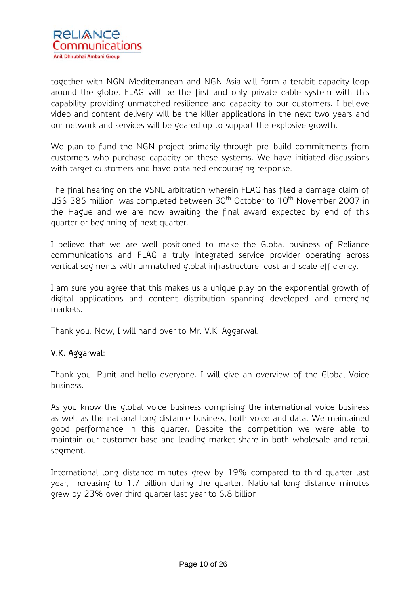

together with NGN Mediterranean and NGN Asia will form a terabit capacity loop around the globe. FLAG will be the first and only private cable system with this capability providing unmatched resilience and capacity to our customers. I believe video and content delivery will be the killer applications in the next two years and our network and services will be geared up to support the explosive growth.

We plan to fund the NGN project primarily through pre-build commitments from customers who purchase capacity on these systems. We have initiated discussions with target customers and have obtained encouraging response.

The final hearing on the VSNL arbitration wherein FLAG has filed a damage claim of US\$ 385 million, was completed between 30<sup>th</sup> October to 10<sup>th</sup> November 2007 in the Hague and we are now awaiting the final award expected by end of this quarter or beginning of next quarter.

I believe that we are well positioned to make the Global business of Reliance communications and FLAG a truly integrated service provider operating across vertical segments with unmatched global infrastructure, cost and scale efficiency.

I am sure you agree that this makes us a unique play on the exponential growth of digital applications and content distribution spanning developed and emerging markets.

Thank you. Now, I will hand over to Mr. V.K. Aggarwal.

# V.K. Aggarwal:

Thank you, Punit and hello everyone. I will give an overview of the Global Voice business.

As you know the global voice business comprising the international voice business as well as the national long distance business, both voice and data. We maintained good performance in this quarter. Despite the competition we were able to maintain our customer base and leading market share in both wholesale and retail segment.

International long distance minutes grew by 19% compared to third quarter last year, increasing to 1.7 billion during the quarter. National long distance minutes grew by 23% over third quarter last year to 5.8 billion.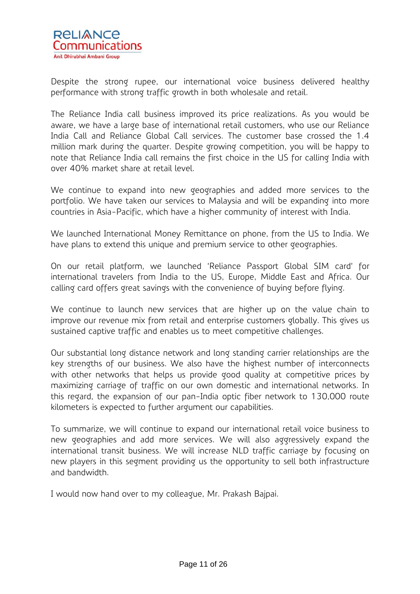

Despite the strong rupee, our international voice business delivered healthy performance with strong traffic growth in both wholesale and retail.

The Reliance India call business improved its price realizations. As you would be aware, we have a large base of international retail customers, who use our Reliance India Call and Reliance Global Call services. The customer base crossed the 1.4 million mark during the quarter. Despite growing competition, you will be happy to note that Reliance India call remains the first choice in the US for calling India with over 40% market share at retail level.

We continue to expand into new geographies and added more services to the portfolio. We have taken our services to Malaysia and will be expanding into more countries in Asia-Pacific, which have a higher community of interest with India.

We launched International Money Remittance on phone, from the US to India. We have plans to extend this unique and premium service to other geographies.

On our retail platform, we launched 'Reliance Passport Global SIM card' for international travelers from India to the US, Europe, Middle East and Africa. Our calling card offers great savings with the convenience of buying before flying.

We continue to launch new services that are higher up on the value chain to improve our revenue mix from retail and enterprise customers globally. This gives us sustained captive traffic and enables us to meet competitive challenges.

Our substantial long distance network and long standing carrier relationships are the key strengths of our business. We also have the highest number of interconnects with other networks that helps us provide good quality at competitive prices by maximizing carriage of traffic on our own domestic and international networks. In this regard, the expansion of our pan-India optic fiber network to 130,000 route kilometers is expected to further argument our capabilities.

To summarize, we will continue to expand our international retail voice business to new geographies and add more services. We will also aggressively expand the international transit business. We will increase NLD traffic carriage by focusing on new players in this segment providing us the opportunity to sell both infrastructure and bandwidth.

I would now hand over to my colleague, Mr. Prakash Bajpai.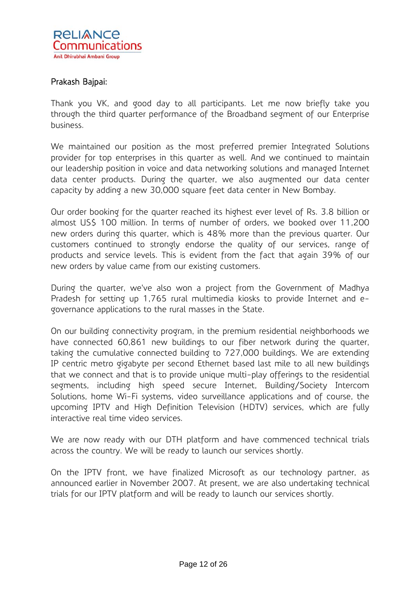

# Prakash Bajpai:

Thank you VK, and good day to all participants. Let me now briefly take you through the third quarter performance of the Broadband segment of our Enterprise business.

We maintained our position as the most preferred premier Integrated Solutions provider for top enterprises in this quarter as well. And we continued to maintain our leadership position in voice and data networking solutions and managed Internet data center products. During the quarter, we also augmented our data center capacity by adding a new 30,000 square feet data center in New Bombay.

Our order booking for the quarter reached its highest ever level of Rs. 3.8 billion or almost US\$ 100 million. In terms of number of orders, we booked over 11,200 new orders during this quarter, which is 48% more than the previous quarter. Our customers continued to strongly endorse the quality of our services, range of products and service levels. This is evident from the fact that again 39% of our new orders by value came from our existing customers.

During the quarter, we've also won a project from the Government of Madhya Pradesh for setting up 1,765 rural multimedia kiosks to provide Internet and egovernance applications to the rural masses in the State.

On our building connectivity program, in the premium residential neighborhoods we have connected 60,861 new buildings to our fiber network during the quarter, taking the cumulative connected building to 727,000 buildings. We are extending IP centric metro gigabyte per second Ethernet based last mile to all new buildings that we connect and that is to provide unique multi-play offerings to the residential segments, including high speed secure Internet, Building/Society Intercom Solutions, home Wi-Fi systems, video surveillance applications and of course, the upcoming IPTV and High Definition Television (HDTV) services, which are fully interactive real time video services.

We are now ready with our DTH platform and have commenced technical trials across the country. We will be ready to launch our services shortly.

On the IPTV front, we have finalized Microsoft as our technology partner, as announced earlier in November 2007. At present, we are also undertaking technical trials for our IPTV platform and will be ready to launch our services shortly.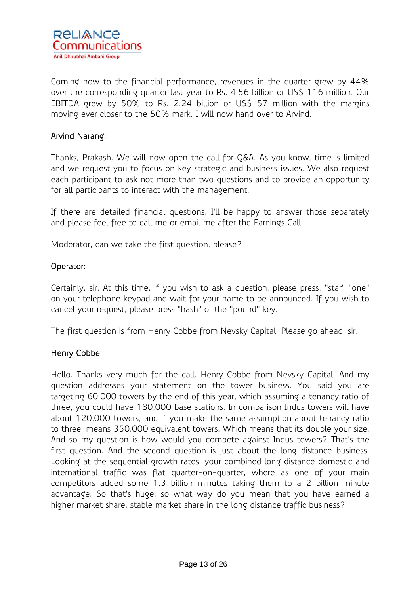

Coming now to the financial performance, revenues in the quarter grew by 44% over the corresponding quarter last year to Rs. 4.56 billion or US\$ 116 million. Our EBITDA grew by 50% to Rs. 2.24 billion or US\$ 57 million with the margins moving ever closer to the 50% mark. I will now hand over to Arvind.

# Arvind Narang:

Thanks, Prakash. We will now open the call for Q&A. As you know, time is limited and we request you to focus on key strategic and business issues. We also request each participant to ask not more than two questions and to provide an opportunity for all participants to interact with the management.

If there are detailed financial questions, I'll be happy to answer those separately and please feel free to call me or email me after the Earnings Call.

Moderator, can we take the first question, please?

#### Operator:

Certainly, sir. At this time, if you wish to ask a question, please press, "star" "one" on your telephone keypad and wait for your name to be announced. If you wish to cancel your request, please press "hash" or the "pound" key.

The first question is from Henry Cobbe from Nevsky Capital. Please go ahead, sir.

#### Henry Cobbe:

Hello. Thanks very much for the call. Henry Cobbe from Nevsky Capital. And my question addresses your statement on the tower business. You said you are targeting 60,000 towers by the end of this year, which assuming a tenancy ratio of three, you could have 180,000 base stations. In comparison Indus towers will have about 120,000 towers, and if you make the same assumption about tenancy ratio to three, means 350,000 equivalent towers. Which means that its double your size. And so my question is how would you compete against Indus towers? That's the first question. And the second question is just about the long distance business. Looking at the sequential growth rates, your combined long distance domestic and international traffic was flat quarter-on-quarter, where as one of your main competitors added some 1.3 billion minutes taking them to a 2 billion minute advantage. So that's huge, so what way do you mean that you have earned a higher market share, stable market share in the long distance traffic business?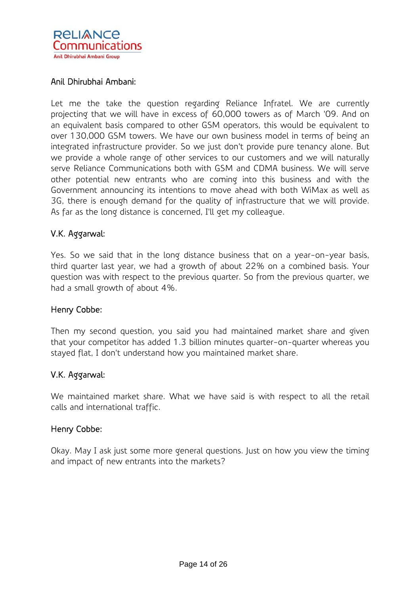

# Anil Dhirubhai Ambani:

Let me the take the question regarding Reliance Infratel. We are currently projecting that we will have in excess of 60,000 towers as of March '09. And on an equivalent basis compared to other GSM operators, this would be equivalent to over 130,000 GSM towers. We have our own business model in terms of being an integrated infrastructure provider. So we just don't provide pure tenancy alone. But we provide a whole range of other services to our customers and we will naturally serve Reliance Communications both with GSM and CDMA business. We will serve other potential new entrants who are coming into this business and with the Government announcing its intentions to move ahead with both WiMax as well as 3G, there is enough demand for the quality of infrastructure that we will provide. As far as the long distance is concerned, I'll get my colleague.

# V.K. Aggarwal:

Yes. So we said that in the long distance business that on a year-on-year basis, third quarter last year, we had a growth of about 22% on a combined basis. Your question was with respect to the previous quarter. So from the previous quarter, we had a small growth of about 4%.

#### Henry Cobbe:

Then my second question, you said you had maintained market share and given that your competitor has added 1.3 billion minutes quarter-on-quarter whereas you stayed flat, I don't understand how you maintained market share.

#### V.K. Aggarwal:

We maintained market share. What we have said is with respect to all the retail calls and international traffic.

#### Henry Cobbe:

Okay. May I ask just some more general questions. Just on how you view the timing and impact of new entrants into the markets?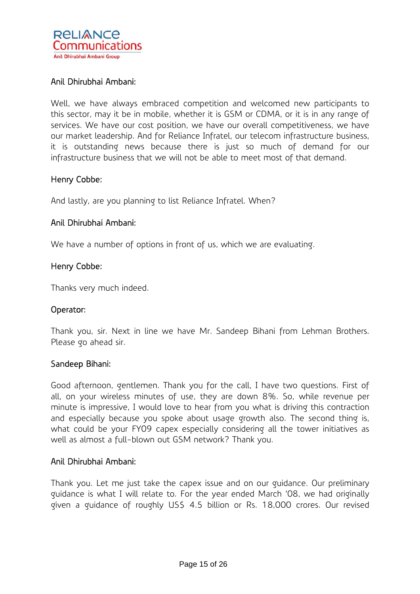

# Anil Dhirubhai Ambani:

Well, we have always embraced competition and welcomed new participants to this sector, may it be in mobile, whether it is GSM or CDMA, or it is in any range of services. We have our cost position, we have our overall competitiveness, we have our market leadership. And for Reliance Infratel, our telecom infrastructure business, it is outstanding news because there is just so much of demand for our infrastructure business that we will not be able to meet most of that demand.

## Henry Cobbe:

And lastly, are you planning to list Reliance Infratel. When?

## Anil Dhirubhai Ambani:

We have a number of options in front of us, which we are evaluating.

#### Henry Cobbe:

Thanks very much indeed.

#### Operator:

Thank you, sir. Next in line we have Mr. Sandeep Bihani from Lehman Brothers. Please go ahead sir.

#### Sandeep Bihani:

Good afternoon, gentlemen. Thank you for the call, I have two questions. First of all, on your wireless minutes of use, they are down 8%. So, while revenue per minute is impressive, I would love to hear from you what is driving this contraction and especially because you spoke about usage growth also. The second thing is, what could be your FY09 capex especially considering all the tower initiatives as well as almost a full-blown out GSM network? Thank you.

#### Anil Dhirubhai Ambani:

Thank you. Let me just take the capex issue and on our guidance. Our preliminary guidance is what I will relate to. For the year ended March '08, we had originally given a guidance of roughly US\$ 4.5 billion or Rs. 18,000 crores. Our revised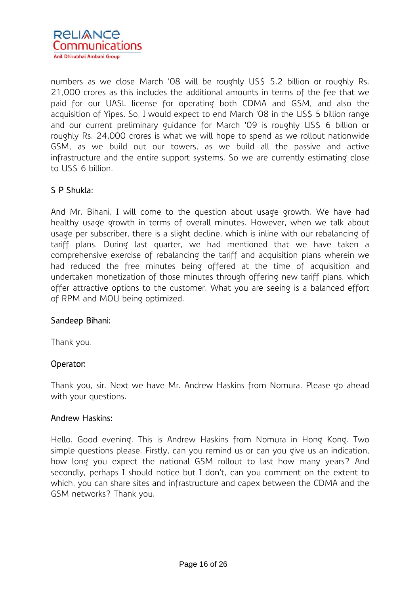

numbers as we close March '08 will be roughly US\$ 5.2 billion or roughly Rs. 21,000 crores as this includes the additional amounts in terms of the fee that we paid for our UASL license for operating both CDMA and GSM, and also the acquisition of Yipes. So, I would expect to end March '08 in the US\$ 5 billion range and our current preliminary guidance for March '09 is roughly US\$ 6 billion or roughly Rs. 24,000 crores is what we will hope to spend as we rollout nationwide GSM, as we build out our towers, as we build all the passive and active infrastructure and the entire support systems. So we are currently estimating close to US\$ 6 billion.

# S P Shukla:

And Mr. Bihani, I will come to the question about usage growth. We have had healthy usage growth in terms of overall minutes. However, when we talk about usage per subscriber, there is a slight decline, which is inline with our rebalancing of tariff plans. During last quarter, we had mentioned that we have taken a comprehensive exercise of rebalancing the tariff and acquisition plans wherein we had reduced the free minutes being offered at the time of acquisition and undertaken monetization of those minutes through offering new tariff plans, which offer attractive options to the customer. What you are seeing is a balanced effort of RPM and MOU being optimized.

#### Sandeep Bihani:

Thank you.

# Operator:

Thank you, sir. Next we have Mr. Andrew Haskins from Nomura. Please go ahead with your questions.

#### Andrew Haskins:

Hello. Good evening. This is Andrew Haskins from Nomura in Hong Kong. Two simple questions please. Firstly, can you remind us or can you give us an indication, how long you expect the national GSM rollout to last how many years? And secondly, perhaps I should notice but I don't, can you comment on the extent to which, you can share sites and infrastructure and capex between the CDMA and the GSM networks? Thank you.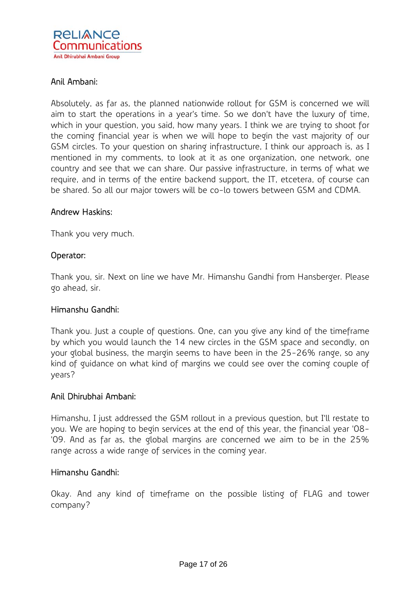

# Anil Ambani:

Absolutely, as far as, the planned nationwide rollout for GSM is concerned we will aim to start the operations in a year's time. So we don't have the luxury of time, which in your question, you said, how many years. I think we are trying to shoot for the coming financial year is when we will hope to begin the vast majority of our GSM circles. To your question on sharing infrastructure, I think our approach is, as I mentioned in my comments, to look at it as one organization, one network, one country and see that we can share. Our passive infrastructure, in terms of what we require, and in terms of the entire backend support, the IT, etcetera, of course can be shared. So all our major towers will be co-lo towers between GSM and CDMA.

## Andrew Haskins:

Thank you very much.

## Operator:

Thank you, sir. Next on line we have Mr. Himanshu Gandhi from Hansberger. Please go ahead, sir.

#### Himanshu Gandhi:

Thank you. Just a couple of questions. One, can you give any kind of the timeframe by which you would launch the 14 new circles in the GSM space and secondly, on your global business, the margin seems to have been in the 25-26% range, so any kind of guidance on what kind of margins we could see over the coming couple of years?

#### Anil Dhirubhai Ambani:

Himanshu, I just addressed the GSM rollout in a previous question, but I'll restate to you. We are hoping to begin services at the end of this year, the financial year '08- '09. And as far as, the global margins are concerned we aim to be in the 25% range across a wide range of services in the coming year.

#### Himanshu Gandhi:

Okay. And any kind of timeframe on the possible listing of FLAG and tower company?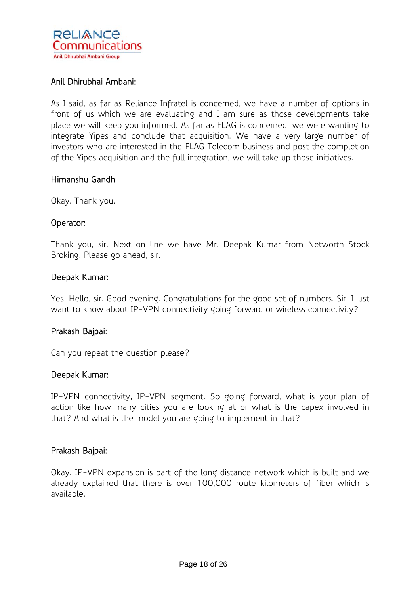

# Anil Dhirubhai Ambani:

As I said, as far as Reliance Infratel is concerned, we have a number of options in front of us which we are evaluating and I am sure as those developments take place we will keep you informed. As far as FLAG is concerned, we were wanting to integrate Yipes and conclude that acquisition. We have a very large number of investors who are interested in the FLAG Telecom business and post the completion of the Yipes acquisition and the full integration, we will take up those initiatives.

#### Himanshu Gandhi:

Okay. Thank you.

## Operator:

Thank you, sir. Next on line we have Mr. Deepak Kumar from Networth Stock Broking. Please go ahead, sir.

## Deepak Kumar:

Yes. Hello, sir. Good evening. Congratulations for the good set of numbers. Sir, I just want to know about IP-VPN connectivity going forward or wireless connectivity?

#### Prakash Bajpai:

Can you repeat the question please?

#### Deepak Kumar:

IP-VPN connectivity, IP-VPN segment. So going forward, what is your plan of action like how many cities you are looking at or what is the capex involved in that? And what is the model you are going to implement in that?

#### Prakash Bajpai:

Okay. IP-VPN expansion is part of the long distance network which is built and we already explained that there is over 100,000 route kilometers of fiber which is available.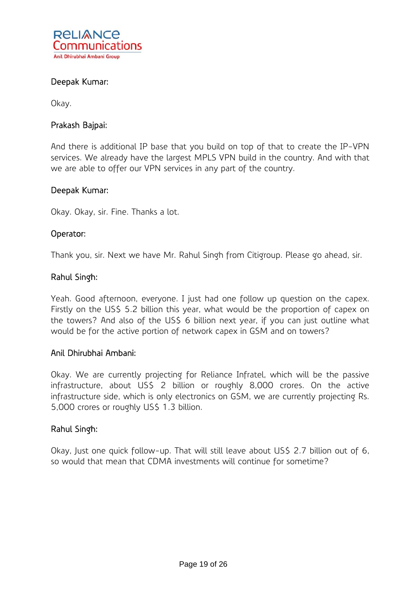

# Deepak Kumar:

Okay.

## Prakash Bajpai:

And there is additional IP base that you build on top of that to create the IP-VPN services. We already have the largest MPLS VPN build in the country. And with that we are able to offer our VPN services in any part of the country.

#### Deepak Kumar:

Okay. Okay, sir. Fine. Thanks a lot.

## Operator:

Thank you, sir. Next we have Mr. Rahul Singh from Citigroup. Please go ahead, sir.

## Rahul Singh:

Yeah. Good afternoon, everyone. I just had one follow up question on the capex. Firstly on the US\$ 5.2 billion this year, what would be the proportion of capex on the towers? And also of the US\$ 6 billion next year, if you can just outline what would be for the active portion of network capex in GSM and on towers?

#### Anil Dhirubhai Ambani:

Okay. We are currently projecting for Reliance Infratel, which will be the passive infrastructure, about US\$ 2 billion or roughly 8,000 crores. On the active infrastructure side, which is only electronics on GSM, we are currently projecting Rs. 5,000 crores or roughly US\$ 1.3 billion.

#### Rahul Singh:

Okay, Just one quick follow-up. That will still leave about US\$ 2.7 billion out of 6, so would that mean that CDMA investments will continue for sometime?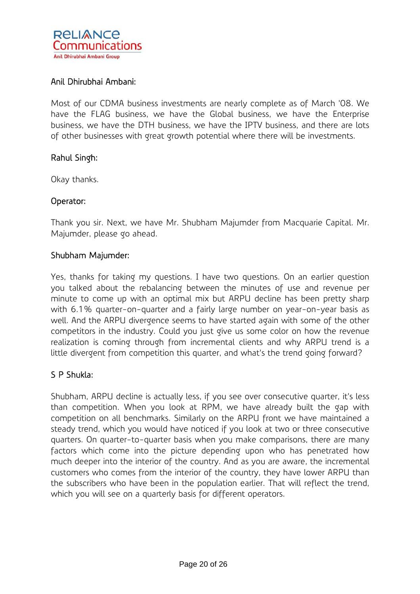

# Anil Dhirubhai Ambani:

Most of our CDMA business investments are nearly complete as of March '08. We have the FLAG business, we have the Global business, we have the Enterprise business, we have the DTH business, we have the IPTV business, and there are lots of other businesses with great growth potential where there will be investments.

## Rahul Singh:

Okay thanks.

# Operator:

Thank you sir. Next, we have Mr. Shubham Majumder from Macquarie Capital. Mr. Majumder, please go ahead.

## Shubham Majumder:

Yes, thanks for taking my questions. I have two questions. On an earlier question you talked about the rebalancing between the minutes of use and revenue per minute to come up with an optimal mix but ARPU decline has been pretty sharp with 6.1% quarter-on-quarter and a fairly large number on year-on-year basis as well. And the ARPU divergence seems to have started again with some of the other competitors in the industry. Could you just give us some color on how the revenue realization is coming through from incremental clients and why ARPU trend is a little divergent from competition this quarter, and what's the trend going forward?

# S P Shukla:

Shubham, ARPU decline is actually less, if you see over consecutive quarter, it's less than competition. When you look at RPM, we have already built the gap with competition on all benchmarks. Similarly on the ARPU front we have maintained a steady trend, which you would have noticed if you look at two or three consecutive quarters. On quarter-to-quarter basis when you make comparisons, there are many factors which come into the picture depending upon who has penetrated how much deeper into the interior of the country. And as you are aware, the incremental customers who comes from the interior of the country, they have lower ARPU than the subscribers who have been in the population earlier. That will reflect the trend, which you will see on a quarterly basis for different operators.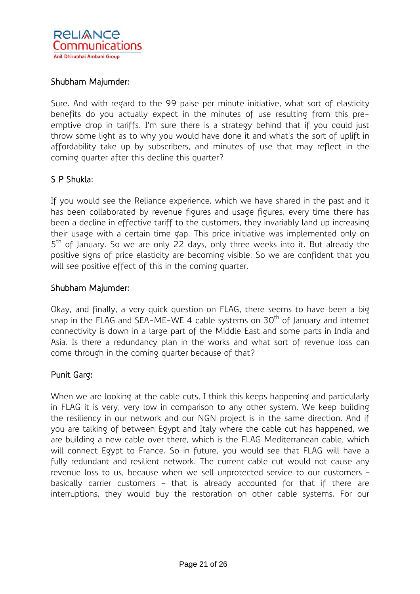

## Shubham Majumder:

Sure. And with regard to the 99 paise per minute initiative, what sort of elasticity benefits do you actually expect in the minutes of use resulting from this preemptive drop in tariffs. I'm sure there is a strategy behind that if you could just throw some light as to why you would have done it and what's the sort of uplift in affordability take up by subscribers, and minutes of use that may reflect in the coming quarter after this decline this quarter?

## S P Shukla:

If you would see the Reliance experience, which we have shared in the past and it has been collaborated by revenue figures and usage figures, every time there has been a decline in effective tariff to the customers, they invariably land up increasing their usage with a certain time gap. This price initiative was implemented only on  $5<sup>th</sup>$  of January. So we are only 22 days, only three weeks into it. But already the positive signs of price elasticity are becoming visible. So we are confident that you will see positive effect of this in the coming quarter.

#### Shubham Majumder:

Okay, and finally, a very quick question on FLAG, there seems to have been a big snap in the FLAG and SEA-ME-WE 4 cable systems on  $30<sup>th</sup>$  of January and internet connectivity is down in a large part of the Middle East and some parts in India and Asia. Is there a redundancy plan in the works and what sort of revenue loss can come through in the coming quarter because of that?

# Punit Garg:

When we are looking at the cable cuts, I think this keeps happening and particularly in FLAG it is very, very low in comparison to any other system. We keep building the resiliency in our network and our NGN project is in the same direction. And if you are talking of between Egypt and Italy where the cable cut has happened, we are building a new cable over there, which is the FLAG Mediterranean cable, which will connect Egypt to France. So in future, you would see that FLAG will have a fully redundant and resilient network. The current cable cut would not cause any revenue loss to us, because when we sell unprotected service to our customers – basically carrier customers – that is already accounted for that if there are interruptions, they would buy the restoration on other cable systems. For our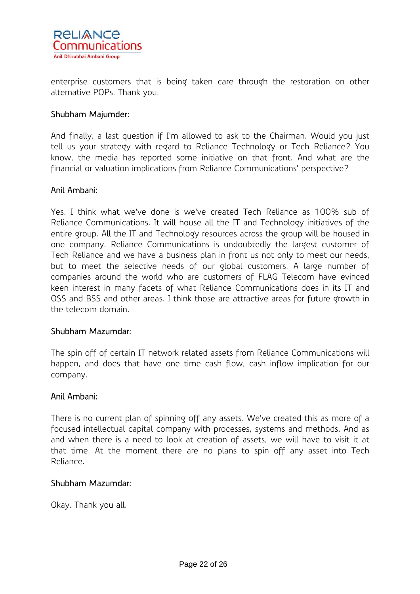

enterprise customers that is being taken care through the restoration on other alternative POPs. Thank you.

## Shubham Majumder:

And finally, a last question if I'm allowed to ask to the Chairman. Would you just tell us your strategy with regard to Reliance Technology or Tech Reliance? You know, the media has reported some initiative on that front. And what are the financial or valuation implications from Reliance Communications' perspective?

#### Anil Ambani:

Yes, I think what we've done is we've created Tech Reliance as 100% sub of Reliance Communications. It will house all the IT and Technology initiatives of the entire group. All the IT and Technology resources across the group will be housed in one company. Reliance Communications is undoubtedly the largest customer of Tech Reliance and we have a business plan in front us not only to meet our needs, but to meet the selective needs of our global customers. A large number of companies around the world who are customers of FLAG Telecom have evinced keen interest in many facets of what Reliance Communications does in its IT and OSS and BSS and other areas. I think those are attractive areas for future growth in the telecom domain.

#### Shubham Mazumdar:

The spin off of certain IT network related assets from Reliance Communications will happen, and does that have one time cash flow, cash inflow implication for our company.

#### Anil Ambani:

There is no current plan of spinning off any assets. We've created this as more of a focused intellectual capital company with processes, systems and methods. And as and when there is a need to look at creation of assets, we will have to visit it at that time. At the moment there are no plans to spin off any asset into Tech Reliance.

#### Shubham Mazumdar:

Okay. Thank you all.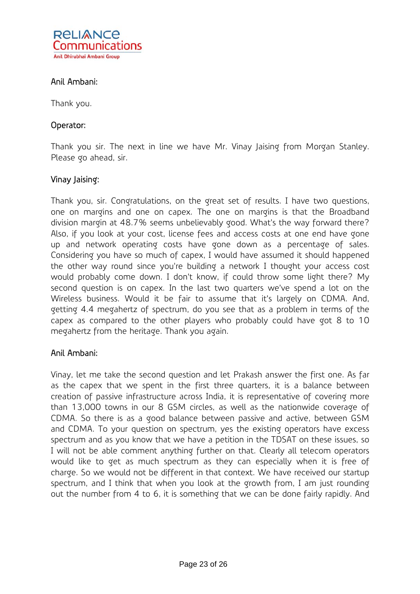

# Anil Ambani:

Thank you.

# Operator:

Thank you sir. The next in line we have Mr. Vinay Jaising from Morgan Stanley. Please go ahead, sir.

## Vinay Jaising:

Thank you, sir. Congratulations, on the great set of results. I have two questions, one on margins and one on capex. The one on margins is that the Broadband division margin at 48.7% seems unbelievably good. What's the way forward there? Also, if you look at your cost, license fees and access costs at one end have gone up and network operating costs have gone down as a percentage of sales. Considering you have so much of capex, I would have assumed it should happened the other way round since you're building a network I thought your access cost would probably come down. I don't know, if could throw some light there? My second question is on capex. In the last two quarters we've spend a lot on the Wireless business. Would it be fair to assume that it's largely on CDMA. And, getting 4.4 megahertz of spectrum, do you see that as a problem in terms of the capex as compared to the other players who probably could have got 8 to 10 megahertz from the heritage. Thank you again.

# Anil Ambani:

Vinay, let me take the second question and let Prakash answer the first one. As far as the capex that we spent in the first three quarters, it is a balance between creation of passive infrastructure across India, it is representative of covering more than 13,000 towns in our 8 GSM circles, as well as the nationwide coverage of CDMA. So there is as a good balance between passive and active, between GSM and CDMA. To your question on spectrum, yes the existing operators have excess spectrum and as you know that we have a petition in the TDSAT on these issues, so I will not be able comment anything further on that. Clearly all telecom operators would like to get as much spectrum as they can especially when it is free of charge. So we would not be different in that context. We have received our startup spectrum, and I think that when you look at the growth from, I am just rounding out the number from 4 to 6, it is something that we can be done fairly rapidly. And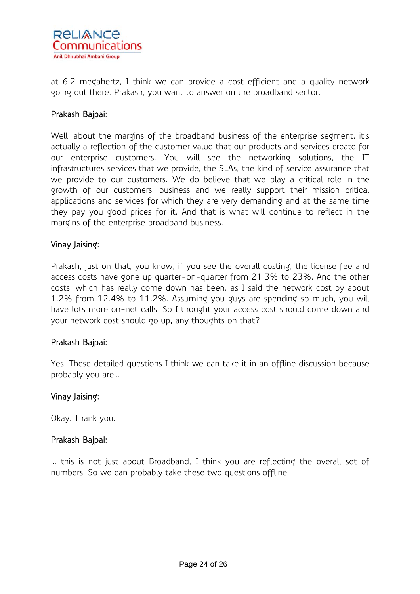

at 6.2 megahertz, I think we can provide a cost efficient and a quality network going out there. Prakash, you want to answer on the broadband sector.

## Prakash Bajpai:

Well, about the margins of the broadband business of the enterprise segment, it's actually a reflection of the customer value that our products and services create for our enterprise customers. You will see the networking solutions, the IT infrastructures services that we provide, the SLAs, the kind of service assurance that we provide to our customers. We do believe that we play a critical role in the growth of our customers' business and we really support their mission critical applications and services for which they are very demanding and at the same time they pay you good prices for it. And that is what will continue to reflect in the margins of the enterprise broadband business.

#### Vinay Jaising:

Prakash, just on that, you know, if you see the overall costing, the license fee and access costs have gone up quarter-on-quarter from 21.3% to 23%. And the other costs, which has really come down has been, as I said the network cost by about 1.2% from 12.4% to 11.2%. Assuming you guys are spending so much, you will have lots more on-net calls. So I thought your access cost should come down and your network cost should go up, any thoughts on that?

#### Prakash Bajpai:

Yes. These detailed questions I think we can take it in an offline discussion because probably you are…

#### Vinay Jaising:

Okay. Thank you.

#### Prakash Bajpai:

… this is not just about Broadband, I think you are reflecting the overall set of numbers. So we can probably take these two questions offline.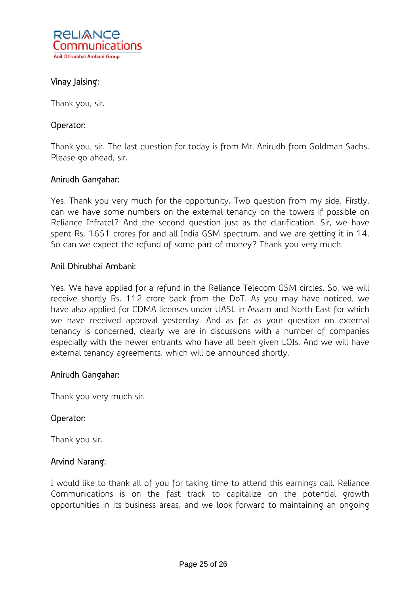

# Vinay Jaising:

Thank you, sir.

## Operator:

Thank you, sir. The last question for today is from Mr. Anirudh from Goldman Sachs. Please go ahead, sir.

## Anirudh Gangahar:

Yes. Thank you very much for the opportunity. Two question from my side. Firstly, can we have some numbers on the external tenancy on the towers if possible on Reliance Infratel? And the second question just as the clarification. Sir, we have spent Rs. 1651 crores for and all India GSM spectrum, and we are getting it in 14. So can we expect the refund of some part of money? Thank you very much.

## Anil Dhirubhai Ambani:

Yes. We have applied for a refund in the Reliance Telecom GSM circles. So, we will receive shortly Rs. 112 crore back from the DoT. As you may have noticed, we have also applied for CDMA licenses under UASL in Assam and North East for which we have received approval yesterday. And as far as your question on external tenancy is concerned, clearly we are in discussions with a number of companies especially with the newer entrants who have all been given LOIs. And we will have external tenancy agreements, which will be announced shortly.

#### Anirudh Gangahar:

Thank you very much sir.

#### Operator:

Thank you sir.

#### Arvind Narang:

I would like to thank all of you for taking time to attend this earnings call. Reliance Communications is on the fast track to capitalize on the potential growth opportunities in its business areas, and we look forward to maintaining an ongoing